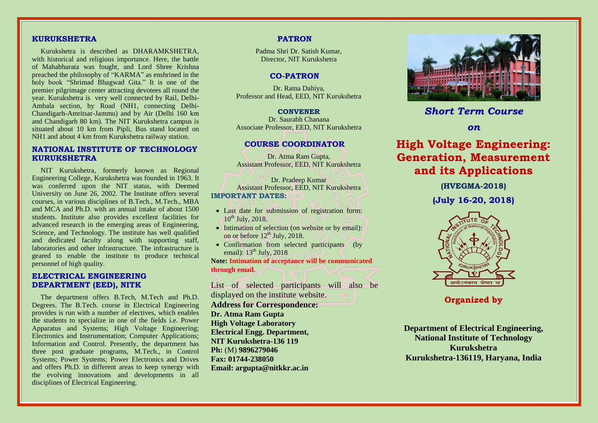# **KURUKSHETRA**

Kurukshetra is described as DHARAMKSHETRA, with historical and religious importance. Here, the battle of Mahabharata was fought, and Lord Shree Krishna preached the philosophy of "KARMA" as enshrined in the holy book "Shrimad Bhagwad Gita." It is one of the premier pilgrimage center attracting devotees all round the year. Kurukshetra is very well connected by Rail, Delhi-Ambala section, by Road (NH1, connecting Delhi-Chandigarh-Amritsar-Jammu) and by Air (Delhi 160 km and Chandigarh 80 km). The NIT Kurukshetra campus is situated about 10 km from Pipli, Bus stand located on NH1 and about 4 km from Kurukshetra railway station.

# **NATIONAL INSTITUTE OF TECHNOLOGY KURUKSHETRA**

NIT Kurukshetra, formerly known as Regional Engineering College, Kurukshetra was founded in 1963. It was conferred upon the NIT status, with Deemed University on June 26, 2002. The Institute offers several courses, in various disciplines of B.Tech., M.Tech., MBA and MCA and Ph.D. with an annual intake of about 1500 students. Institute also provides excellent facilities for advanced research in the emerging areas of Engineering, Science, and Technology. The institute has well qualified and dedicated faculty along with supporting staff, laboratories and other infrastructure. The infrastructure is geared to enable the institute to produce technical personnel of high quality.

# **ELECTRICAL ENGINEERING DEPARTMENT (EED), NITK**

The department offers B.Tech, M.Tech and Ph.D. Degrees. The B.Tech. course in Electrical Engineering provides is run with a number of electives, which enables the students to specialize in one of the fields i.e. Power Apparatus and Systems; High Voltage Engineering; Electronics and Instrumentation; Computer Applications; Information and Control. Presently, the department has three post graduate programs, M.Tech., in Control Systems; Power Systems; Power Electronics and Drives and offers Ph.D. in different areas to keep synergy with the evolving innovations and developments in all disciplines of Electrical Engineering.

### **PATRON**

Padma Shri Dr. Satish Kumar, Director, NIT Kurukshetra

# **CO-PATRON**

Dr. Ratna Dahiya, Professor and Head, EED, NIT Kurukshetra

**CONVENER** Dr. Saurabh Chanana Associate Professor, EED, NIT Kurukshetra

### **COURSE COORDINATOR**

Dr. Atma Ram Gupta, Assistant Professor, EED, NIT Kurukshetra

Dr. Pradeep Kumar Assistant Professor, EED, NIT Kurukshetra **IMPORTANT DATES:**

- Last date for submission of registration form:  $10^{th}$  July, 2018.
- Intimation of selection (on website or by email): on or before  $12<sup>th</sup>$  July, 2018.
- Confirmation from selected participants (by email):  $13<sup>th</sup>$  July, 2018

**Note: Intimation of acceptance will be communicated through email.**

List of selected participants will also be displayed on the institute website. **Address for Correspondence: Dr. Atma Ram Gupta High Voltage Laboratory Electrical Engg. Department, NIT Kurukshetra-136 119 Ph:** (M) **9896279046 Fax: 01744-238050 Email: argupta@nitkkr.ac.in**



*Short Term Course*

*on*

# **High Voltage Engineering: Generation, Measurement and its Applications**

**(HVEGMA-2018)** 

**(July 16-20, 2018)**



**Organized by**

**Department of Electrical Engineering, National Institute of Technology Kurukshetra Kurukshetra-136119, Haryana, India**